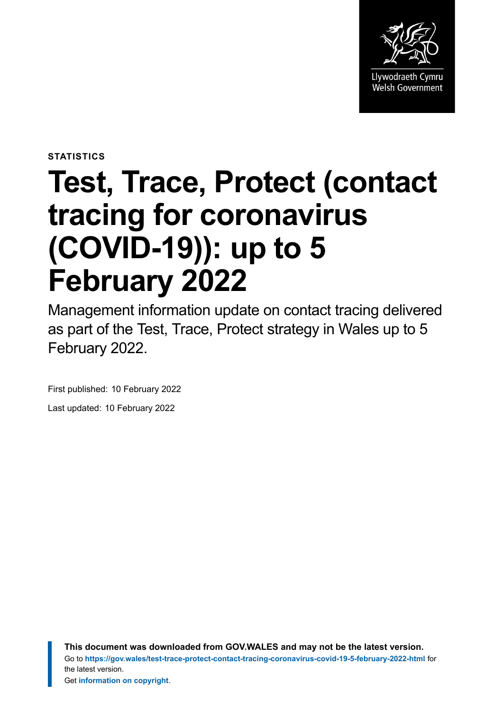

**STATISTICS**

# **Test, Trace, Protect (contact tracing for coronavirus (COVID-19)): up to 5 February 2022**

Management information update on contact tracing delivered as part of the Test, Trace, Protect strategy in Wales up to 5 February 2022.

First published: 10 February 2022

Last updated: 10 February 2022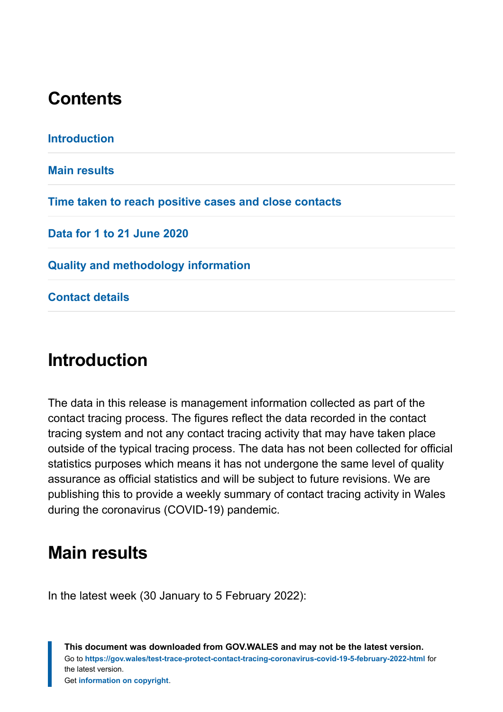# **Contents**

**[Introduction](#page-1-0) [Main results](#page-1-1) [Time taken to reach positive cases and close contacts](#page-7-0) [Data for 1 to 21 June 2020](#page-8-0) [Quality and methodology information](#page-9-0) [Contact details](#page-18-0)**

# <span id="page-1-0"></span>**Introduction**

The data in this release is management information collected as part of the contact tracing process. The figures reflect the data recorded in the contact tracing system and not any contact tracing activity that may have taken place outside of the typical tracing process. The data has not been collected for official statistics purposes which means it has not undergone the same level of quality assurance as official statistics and will be subject to future revisions. We are publishing this to provide a weekly summary of contact tracing activity in Wales during the coronavirus (COVID-19) pandemic.

# <span id="page-1-1"></span>**Main results**

In the latest week (30 January to 5 February 2022):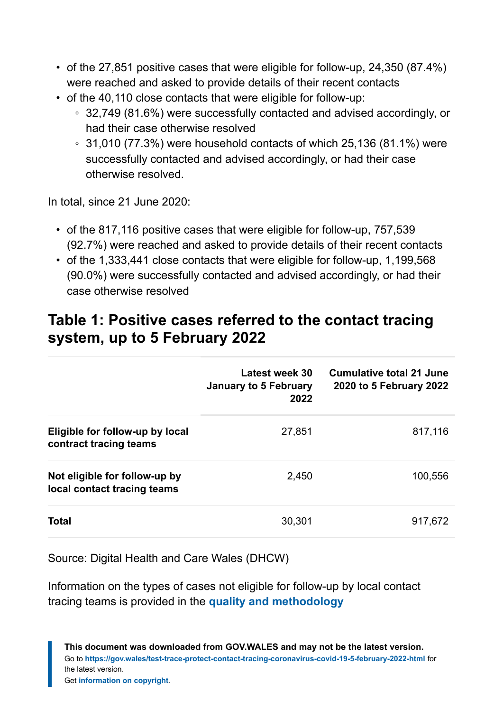- of the 27,851 positive cases that were eligible for follow-up, 24,350 (87.4%) were reached and asked to provide details of their recent contacts
- of the 40,110 close contacts that were eligible for follow-up:
	- 32,749 (81.6%) were successfully contacted and advised accordingly, or had their case otherwise resolved
	- $\cdot$  31,010 (77.3%) were household contacts of which 25,136 (81.1%) were successfully contacted and advised accordingly, or had their case otherwise resolved.

In total, since 21 June 2020:

- of the 817,116 positive cases that were eligible for follow-up, 757,539 (92.7%) were reached and asked to provide details of their recent contacts
- of the 1,333,441 close contacts that were eligible for follow-up, 1,199,568 (90.0%) were successfully contacted and advised accordingly, or had their case otherwise resolved

### **Table 1: Positive cases referred to the contact tracing system, up to 5 February 2022**

|                                                              | Latest week 30<br>January to 5 February<br>2022 | <b>Cumulative total 21 June</b><br>2020 to 5 February 2022 |
|--------------------------------------------------------------|-------------------------------------------------|------------------------------------------------------------|
| Eligible for follow-up by local<br>contract tracing teams    | 27,851                                          | 817,116                                                    |
| Not eligible for follow-up by<br>local contact tracing teams | 2,450                                           | 100,556                                                    |
| <b>Total</b>                                                 | 30,301                                          | 917,672                                                    |

Source: Digital Health and Care Wales (DHCW)

Information on the types of cases not eligible for follow-up by local contact tracing teams is provided in the **[quality and methodology](#page-9-0)**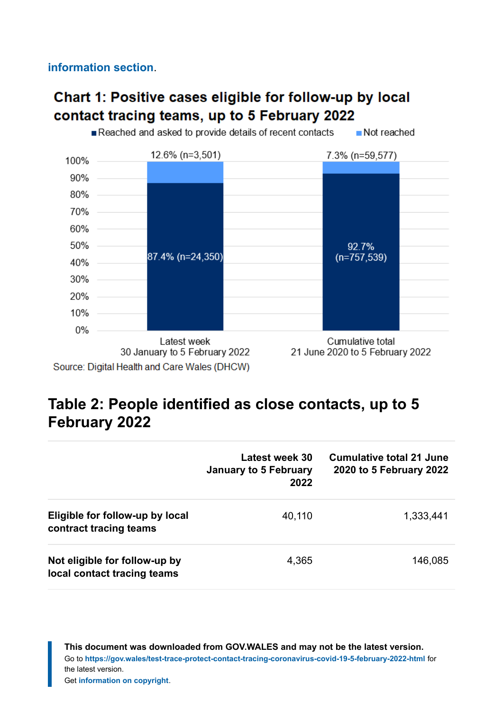**[information](#page-9-0) section**.

### Chart 1: Positive cases eligible for follow-up by local contact tracing teams, up to 5 February 2022



### **Table 2: People identified as close contacts, up to 5 February 2022**

|                                                              | Latest week 30<br>January to 5 February<br>2022 | <b>Cumulative total 21 June</b><br>2020 to 5 February 2022 |
|--------------------------------------------------------------|-------------------------------------------------|------------------------------------------------------------|
| Eligible for follow-up by local<br>contract tracing teams    | 40,110                                          | 1,333,441                                                  |
| Not eligible for follow-up by<br>local contact tracing teams | 4,365                                           | 146,085                                                    |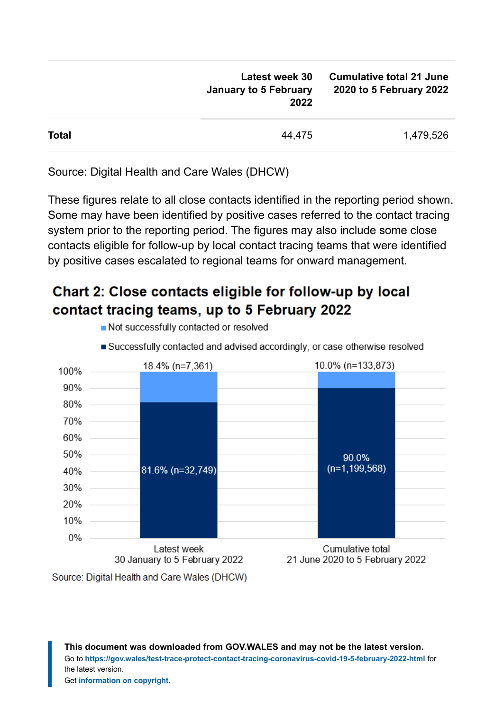| <b>Latest week 30</b><br>January to 5 February<br>2022 | <b>Cumulative total 21 June</b><br>2020 to 5 February 2022 |
|--------------------------------------------------------|------------------------------------------------------------|
| 44,475                                                 | 1,479,526                                                  |
|                                                        |                                                            |

Source: Digital Health and Care Wales (DHCW)

These figures relate to all close contacts identified in the reporting period shown. Some may have been identified by positive cases referred to the contact tracing system prior to the reporting period. The figures may also include some close contacts eligible for follow-up by local contact tracing teams that were identified by positive cases escalated to regional teams for onward management.

### Chart 2: Close contacts eligible for follow-up by local contact tracing teams, up to 5 February 2022



Not successfully contacted or resolved

Latest week

30 January to 5 February 2022

Source: Digital Health and Care Wales (DHCW)

20% 10% 0% Successfully contacted and advised accordingly, or case otherwise resolved

**This document was downloaded from GOV.WALES and may not be the latest version.** Go to **<https://gov.wales/test-trace-protect-contact-tracing-coronavirus-covid-19-5-february-2022-html>** for the latest version. Get **[information on copyright](https://gov.wales/copyright-statement)**.

Cumulative total

21 June 2020 to 5 February 2022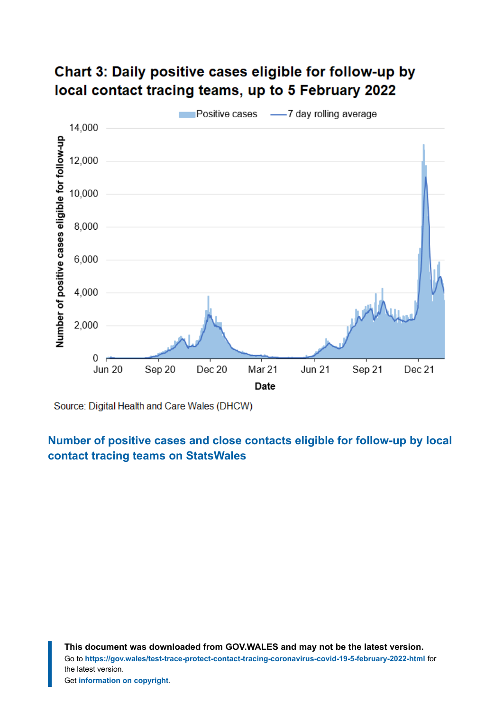### Chart 3: Daily positive cases eligible for follow-up by local contact tracing teams, up to 5 February 2022



Source: Digital Health and Care Wales (DHCW)

**[Number of positive cases and close contacts eligible for follow-up by local](https://statswales.gov.wales/Catalogue/Health-and-Social-Care/coronavirus-covid-19/contact-tracing-for-coronavirus-covid-19/numberofpositivecasesandclosecontactseligibleforfollowup-by-localcontacttracingteams?_ga=2.216589840.744232592.1644220899-1086771297.1619441781) [contact tracing teams](https://statswales.gov.wales/Catalogue/Health-and-Social-Care/coronavirus-covid-19/contact-tracing-for-coronavirus-covid-19/numberofpositivecasesandclosecontactseligibleforfollowup-by-localcontacttracingteams?_ga=2.216589840.744232592.1644220899-1086771297.1619441781) on StatsWales**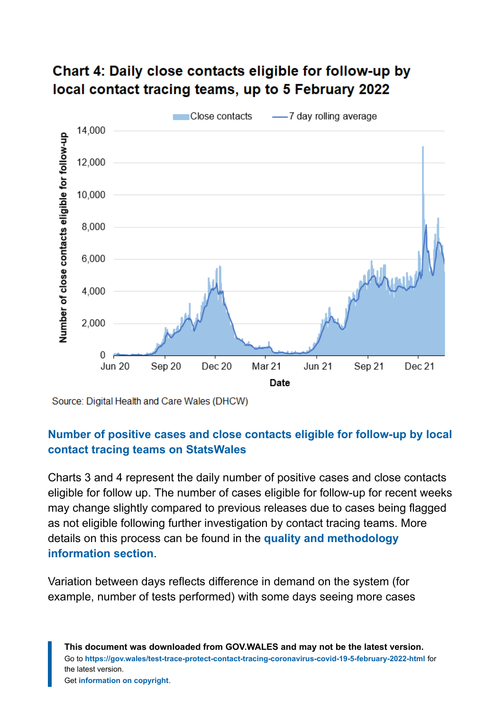

### Chart 4: Daily close contacts eligible for follow-up by local contact tracing teams, up to 5 February 2022

Source: Digital Health and Care Wales (DHCW)

#### **[Number of positive cases and close contacts eligible for follow-up by local](https://statswales.gov.wales/Catalogue/Health-and-Social-Care/coronavirus-covid-19/contact-tracing-for-coronavirus-covid-19/numberofpositivecasesandclosecontactseligibleforfollowup-by-localcontacttracingteams?_ga=2.216589840.744232592.1644220899-1086771297.1619441781) [contact tracing teams](https://statswales.gov.wales/Catalogue/Health-and-Social-Care/coronavirus-covid-19/contact-tracing-for-coronavirus-covid-19/numberofpositivecasesandclosecontactseligibleforfollowup-by-localcontacttracingteams?_ga=2.216589840.744232592.1644220899-1086771297.1619441781) on StatsWales**

Charts 3 and 4 represent the daily number of positive cases and close contacts eligible for follow up. The number of cases eligible for follow-up for recent weeks may change slightly compared to previous releases due to cases being flagged as not eligible following further investigation by contact tracing teams. More details on this process can be found in the **[quality and methodology](#page-9-0) [information](#page-9-0) section**.

Variation between days reflects difference in demand on the system (for example, number of tests performed) with some days seeing more cases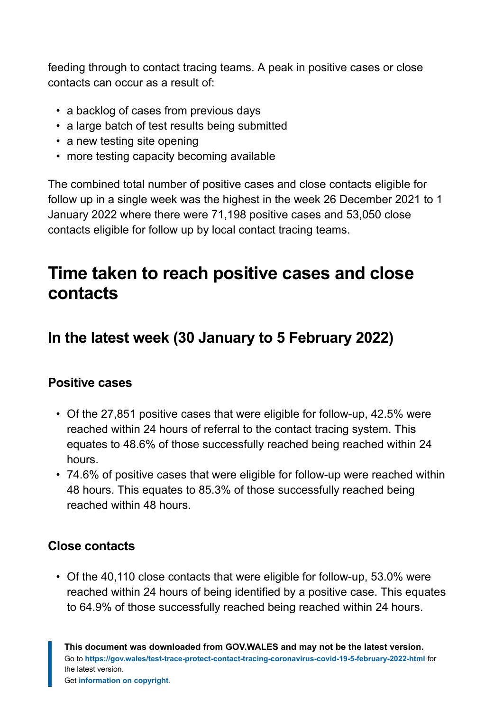feeding through to contact tracing teams. A peak in positive cases or close contacts can occur as a result of:

- a backlog of cases from previous days
- a large batch of test results being submitted
- a new testing site opening
- more testing capacity becoming available

The combined total number of positive cases and close contacts eligible for follow up in a single week was the highest in the week 26 December 2021 to 1 January 2022 where there were 71,198 positive cases and 53,050 close contacts eligible for follow up by local contact tracing teams.

# <span id="page-7-0"></span>**Time taken to reach positive cases and close contacts**

# **In the latest week (30 January to 5 February 2022)**

#### **Positive cases**

- Of the 27,851 positive cases that were eligible for follow-up, 42.5% were reached within 24 hours of referral to the contact tracing system. This equates to 48.6% of those successfully reached being reached within 24 hours.
- 74.6% of positive cases that were eligible for follow-up were reached within 48 hours. This equates to 85.3% of those successfully reached being reached within 48 hours.

#### **Close contacts**

• Of the 40,110 close contacts that were eligible for follow-up, 53.0% were reached within 24 hours of being identified by a positive case. This equates to 64.9% of those successfully reached being reached within 24 hours.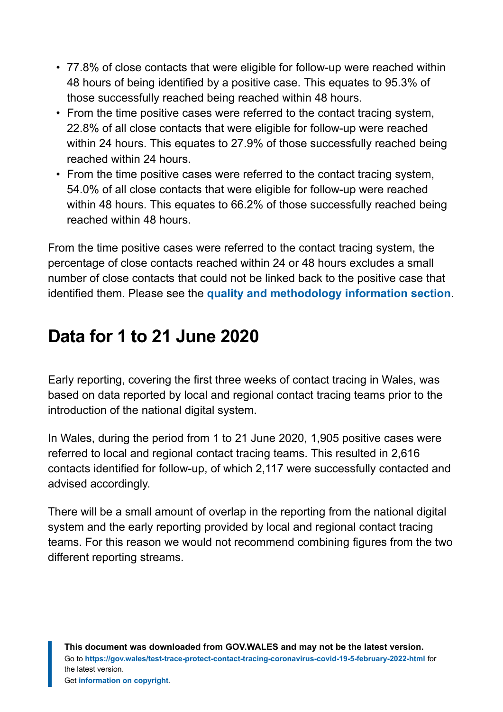- 77.8% of close contacts that were eligible for follow-up were reached within 48 hours of being identified by a positive case. This equates to 95.3% of those successfully reached being reached within 48 hours.
- From the time positive cases were referred to the contact tracing system, 22.8% of all close contacts that were eligible for follow-up were reached within 24 hours. This equates to 27.9% of those successfully reached being reached within 24 hours.
- From the time positive cases were referred to the contact tracing system, 54.0% of all close contacts that were eligible for follow-up were reached within 48 hours. This equates to 66.2% of those successfully reached being reached within 48 hours.

From the time positive cases were referred to the contact tracing system, the percentage of close contacts reached within 24 or 48 hours excludes a small number of close contacts that could not be linked back to the positive case that identified them. Please see the **[quality and methodology information](#page-9-0) section**.

# <span id="page-8-0"></span>**Data for 1 to 21 June 2020**

Early reporting, covering the first three weeks of contact tracing in Wales, was based on data reported by local and regional contact tracing teams prior to the introduction of the national digital system.

In Wales, during the period from 1 to 21 June 2020, 1,905 positive cases were referred to local and regional contact tracing teams. This resulted in 2,616 contacts identified for follow-up, of which 2,117 were successfully contacted and advised accordingly.

There will be a small amount of overlap in the reporting from the national digital system and the early reporting provided by local and regional contact tracing teams. For this reason we would not recommend combining figures from the two different reporting streams.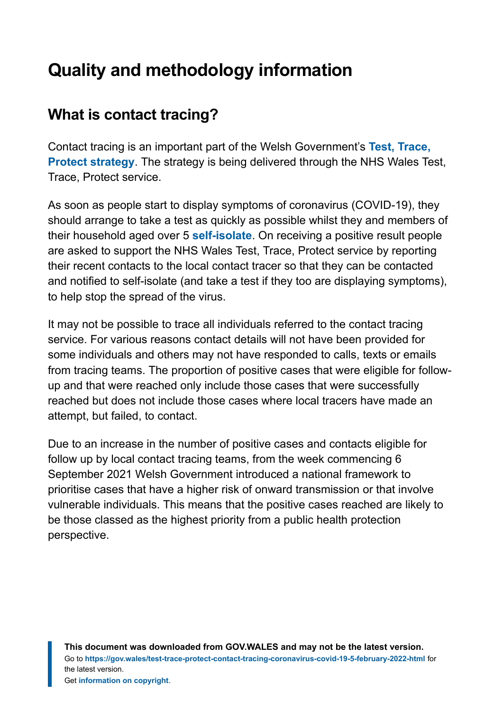# <span id="page-9-0"></span>**Quality and methodology information**

# **What is contact tracing?**

Contact tracing is an important part of the Welsh Government's **[Test, Trace,](https://gov.wales/test-trace-protect) [Protect strategy](https://gov.wales/test-trace-protect)**. The strategy is being delivered through the NHS Wales Test, Trace, Protect service.

As soon as people start to display symptoms of coronavirus (COVID-19), they should arrange to take a test as quickly as possible whilst they and members of their household aged over 5 **[self-isolate](https://gov.wales/self-isolation)**. On receiving a positive result people are asked to support the NHS Wales Test, Trace, Protect service by reporting their recent contacts to the local contact tracer so that they can be contacted and notified to self-isolate (and take a test if they too are displaying symptoms), to help stop the spread of the virus.

It may not be possible to trace all individuals referred to the contact tracing service. For various reasons contact details will not have been provided for some individuals and others may not have responded to calls, texts or emails from tracing teams. The proportion of positive cases that were eligible for followup and that were reached only include those cases that were successfully reached but does not include those cases where local tracers have made an attempt, but failed, to contact.

Due to an increase in the number of positive cases and contacts eligible for follow up by local contact tracing teams, from the week commencing 6 September 2021 Welsh Government introduced a national framework to prioritise cases that have a higher risk of onward transmission or that involve vulnerable individuals. This means that the positive cases reached are likely to be those classed as the highest priority from a public health protection perspective.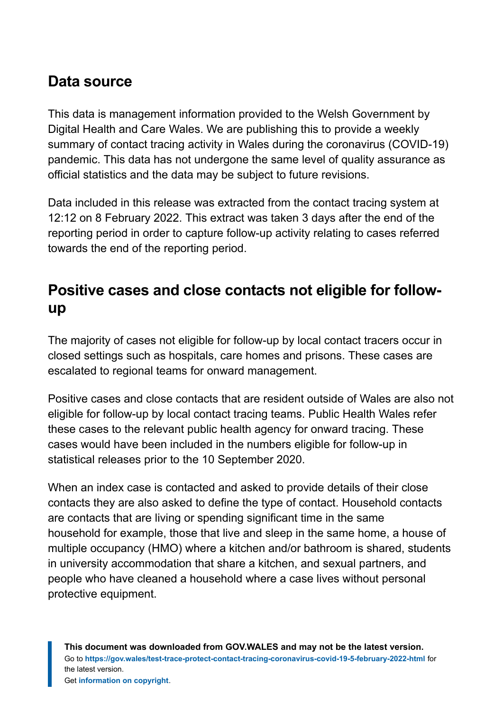### **Data source**

This data is management information provided to the Welsh Government by Digital Health and Care Wales. We are publishing this to provide a weekly summary of contact tracing activity in Wales during the coronavirus (COVID-19) pandemic. This data has not undergone the same level of quality assurance as official statistics and the data may be subject to future revisions.

Data included in this release was extracted from the contact tracing system at 12:12 on 8 February 2022. This extract was taken 3 days after the end of the reporting period in order to capture follow-up activity relating to cases referred towards the end of the reporting period.

### **Positive cases and close contacts not eligible for followup**

The majority of cases not eligible for follow-up by local contact tracers occur in closed settings such as hospitals, care homes and prisons. These cases are escalated to regional teams for onward management.

Positive cases and close contacts that are resident outside of Wales are also not eligible for follow-up by local contact tracing teams. Public Health Wales refer these cases to the relevant public health agency for onward tracing. These cases would have been included in the numbers eligible for follow-up in statistical releases prior to the 10 September 2020.

When an index case is contacted and asked to provide details of their close contacts they are also asked to define the type of contact. Household contacts are contacts that are living or spending significant time in the same household for example, those that live and sleep in the same home, a house of multiple occupancy (HMO) where a kitchen and/or bathroom is shared, students in university accommodation that share a kitchen, and sexual partners, and people who have cleaned a household where a case lives without personal protective equipment.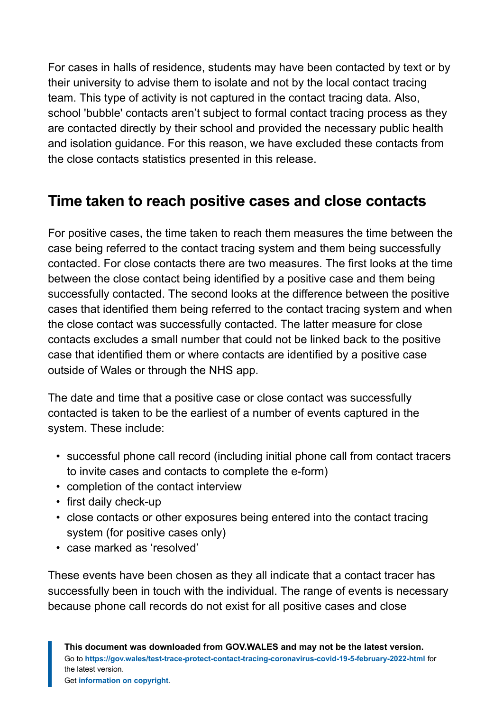For cases in halls of residence, students may have been contacted by text or by their university to advise them to isolate and not by the local contact tracing team. This type of activity is not captured in the contact tracing data. Also, school 'bubble' contacts aren't subject to formal contact tracing process as they are contacted directly by their school and provided the necessary public health and isolation guidance. For this reason, we have excluded these contacts from the close contacts statistics presented in this release.

# **Time taken to reach positive cases and close contacts**

For positive cases, the time taken to reach them measures the time between the case being referred to the contact tracing system and them being successfully contacted. For close contacts there are two measures. The first looks at the time between the close contact being identified by a positive case and them being successfully contacted. The second looks at the difference between the positive cases that identified them being referred to the contact tracing system and when the close contact was successfully contacted. The latter measure for close contacts excludes a small number that could not be linked back to the positive case that identified them or where contacts are identified by a positive case outside of Wales or through the NHS app.

The date and time that a positive case or close contact was successfully contacted is taken to be the earliest of a number of events captured in the system. These include:

- successful phone call record (including initial phone call from contact tracers to invite cases and contacts to complete the e-form)
- completion of the contact interview
- first daily check-up
- close contacts or other exposures being entered into the contact tracing system (for positive cases only)
- case marked as 'resolved'

These events have been chosen as they all indicate that a contact tracer has successfully been in touch with the individual. The range of events is necessary because phone call records do not exist for all positive cases and close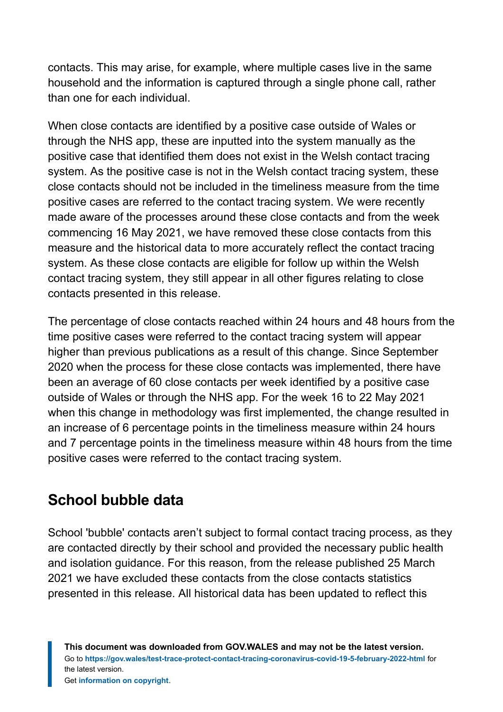contacts. This may arise, for example, where multiple cases live in the same household and the information is captured through a single phone call, rather than one for each individual.

When close contacts are identified by a positive case outside of Wales or through the NHS app, these are inputted into the system manually as the positive case that identified them does not exist in the Welsh contact tracing system. As the positive case is not in the Welsh contact tracing system, these close contacts should not be included in the timeliness measure from the time positive cases are referred to the contact tracing system. We were recently made aware of the processes around these close contacts and from the week commencing 16 May 2021, we have removed these close contacts from this measure and the historical data to more accurately reflect the contact tracing system. As these close contacts are eligible for follow up within the Welsh contact tracing system, they still appear in all other figures relating to close contacts presented in this release.

The percentage of close contacts reached within 24 hours and 48 hours from the time positive cases were referred to the contact tracing system will appear higher than previous publications as a result of this change. Since September 2020 when the process for these close contacts was implemented, there have been an average of 60 close contacts per week identified by a positive case outside of Wales or through the NHS app. For the week 16 to 22 May 2021 when this change in methodology was first implemented, the change resulted in an increase of 6 percentage points in the timeliness measure within 24 hours and 7 percentage points in the timeliness measure within 48 hours from the time positive cases were referred to the contact tracing system.

# **School bubble data**

School 'bubble' contacts aren't subject to formal contact tracing process, as they are contacted directly by their school and provided the necessary public health and isolation guidance. For this reason, from the release published 25 March 2021 we have excluded these contacts from the close contacts statistics presented in this release. All historical data has been updated to reflect this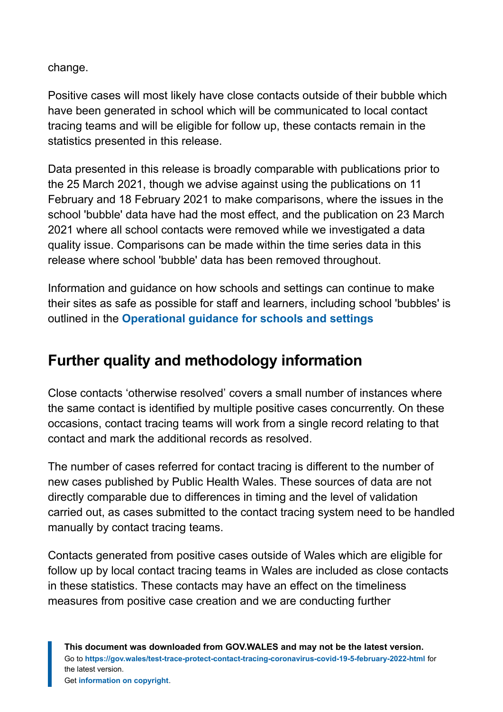change.

Positive cases will most likely have close contacts outside of their bubble which have been generated in school which will be communicated to local contact tracing teams and will be eligible for follow up, these contacts remain in the statistics presented in this release.

Data presented in this release is broadly comparable with publications prior to the 25 March 2021, though we advise against using the publications on 11 February and 18 February 2021 to make comparisons, where the issues in the school 'bubble' data have had the most effect, and the publication on 23 March 2021 where all school contacts were removed while we investigated a data quality issue. Comparisons can be made within the time series data in this release where school 'bubble' data has been removed throughout.

Information and guidance on how schools and settings can continue to make their sites as safe as possible for staff and learners, including school 'bubbles' is outlined in the **[Operational guidance for schools and settings](https://gov.wales/node/38016)**

# **Further quality and methodology information**

Close contacts 'otherwise resolved' covers a small number of instances where the same contact is identified by multiple positive cases concurrently. On these occasions, contact tracing teams will work from a single record relating to that contact and mark the additional records as resolved.

The number of cases referred for contact tracing is different to the number of new cases published by Public Health Wales. These sources of data are not directly comparable due to differences in timing and the level of validation carried out, as cases submitted to the contact tracing system need to be handled manually by contact tracing teams.

Contacts generated from positive cases outside of Wales which are eligible for follow up by local contact tracing teams in Wales are included as close contacts in these statistics. These contacts may have an effect on the timeliness measures from positive case creation and we are conducting further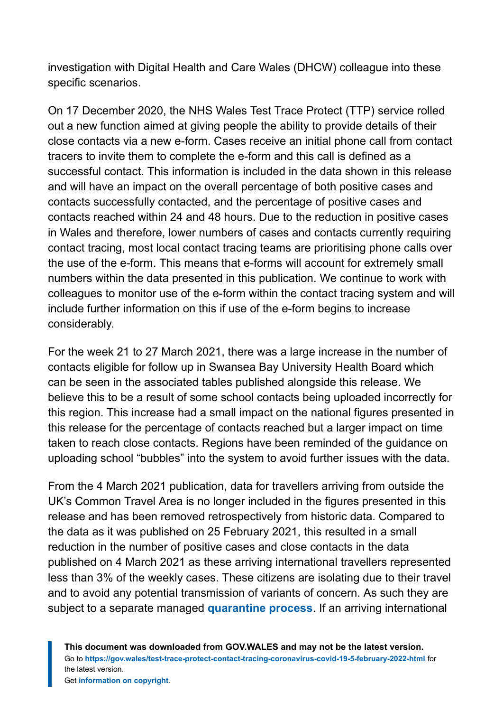investigation with Digital Health and Care Wales (DHCW) colleague into these specific scenarios.

On 17 December 2020, the NHS Wales Test Trace Protect (TTP) service rolled out a new function aimed at giving people the ability to provide details of their close contacts via a new e-form. Cases receive an initial phone call from contact tracers to invite them to complete the e-form and this call is defined as a successful contact. This information is included in the data shown in this release and will have an impact on the overall percentage of both positive cases and contacts successfully contacted, and the percentage of positive cases and contacts reached within 24 and 48 hours. Due to the reduction in positive cases in Wales and therefore, lower numbers of cases and contacts currently requiring contact tracing, most local contact tracing teams are prioritising phone calls over the use of the e-form. This means that e-forms will account for extremely small numbers within the data presented in this publication. We continue to work with colleagues to monitor use of the e-form within the contact tracing system and will include further information on this if use of the e-form begins to increase considerably.

For the week 21 to 27 March 2021, there was a large increase in the number of contacts eligible for follow up in Swansea Bay University Health Board which can be seen in the associated tables published alongside this release. We believe this to be a result of some school contacts being uploaded incorrectly for this region. This increase had a small impact on the national figures presented in this release for the percentage of contacts reached but a larger impact on time taken to reach close contacts. Regions have been reminded of the guidance on uploading school "bubbles" into the system to avoid further issues with the data.

From the 4 March 2021 publication, data for travellers arriving from outside the UK's Common Travel Area is no longer included in the figures presented in this release and has been removed retrospectively from historic data. Compared to the data as it was published on 25 February 2021, this resulted in a small reduction in the number of positive cases and close contacts in the data published on 4 March 2021 as these arriving international travellers represented less than 3% of the weekly cases. These citizens are isolating due to their travel and to avoid any potential transmission of variants of concern. As such they are subject to a separate managed **[quarantine process](https://gov.wales/how-isolate-when-you-travel-wales-coronavirus-covid-19)**. If an arriving international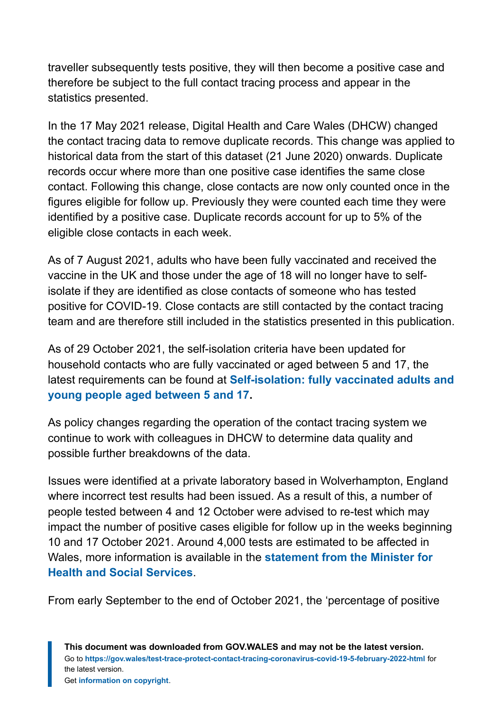traveller subsequently tests positive, they will then become a positive case and therefore be subject to the full contact tracing process and appear in the statistics presented.

In the 17 May 2021 release, Digital Health and Care Wales (DHCW) changed the contact tracing data to remove duplicate records. This change was applied to historical data from the start of this dataset (21 June 2020) onwards. Duplicate records occur where more than one positive case identifies the same close contact. Following this change, close contacts are now only counted once in the figures eligible for follow up. Previously they were counted each time they were identified by a positive case. Duplicate records account for up to 5% of the eligible close contacts in each week.

As of 7 August 2021, adults who have been fully vaccinated and received the vaccine in the UK and those under the age of 18 will no longer have to selfisolate if they are identified as close contacts of someone who has tested positive for COVID-19. Close contacts are still contacted by the contact tracing team and are therefore still included in the statistics presented in this publication.

As of 29 October 2021, the self-isolation criteria have been updated for household contacts who are fully vaccinated or aged between 5 and 17, the latest requirements can be found at **[Self-isolation: fully vaccinated adults and](https://eur01.safelinks.protection.outlook.com/?url=https%3A%2F%2Fgov.wales%2Fself-isolation%23section-83759&data=04%7C01%7CLisa.Bloemberg%40gov.wales%7C11b24c7619744c4b4b8608d9db45efb8%7Ca2cc36c592804ae78887d06dab89216b%7C0%7C0%7C637781915677040668%7CUnknown%7CTWFpbGZsb3d8eyJWIjoiMC4wLjAwMDAiLCJQIjoiV2luMzIiLCJBTiI6Ik1haWwiLCJXVCI6Mn0%3D%7C3000&sdata=OXcmQPRh7n3HA4acgO3apukDA8uXLR%2FRd019fXbuP7I%3D&reserved=0) [young people aged between 5 and 17](https://eur01.safelinks.protection.outlook.com/?url=https%3A%2F%2Fgov.wales%2Fself-isolation%23section-83759&data=04%7C01%7CLisa.Bloemberg%40gov.wales%7C11b24c7619744c4b4b8608d9db45efb8%7Ca2cc36c592804ae78887d06dab89216b%7C0%7C0%7C637781915677040668%7CUnknown%7CTWFpbGZsb3d8eyJWIjoiMC4wLjAwMDAiLCJQIjoiV2luMzIiLCJBTiI6Ik1haWwiLCJXVCI6Mn0%3D%7C3000&sdata=OXcmQPRh7n3HA4acgO3apukDA8uXLR%2FRd019fXbuP7I%3D&reserved=0).**

As policy changes regarding the operation of the contact tracing system we continue to work with colleagues in DHCW to determine data quality and possible further breakdowns of the data.

Issues were identified at a private laboratory based in Wolverhampton, England where incorrect test results had been issued. As a result of this, a number of people tested between 4 and 12 October were advised to re-test which may impact the number of positive cases eligible for follow up in the weeks beginning 10 and 17 October 2021. Around 4,000 tests are estimated to be affected in Wales, more information is available in the **[statement from the Minister for](https://gov.wales/written-statement-has-issued-update-welsh-residents-impacted-incorrect-covid-19-test-results) [Health and Social Services](https://gov.wales/written-statement-has-issued-update-welsh-residents-impacted-incorrect-covid-19-test-results)**.

From early September to the end of October 2021, the 'percentage of positive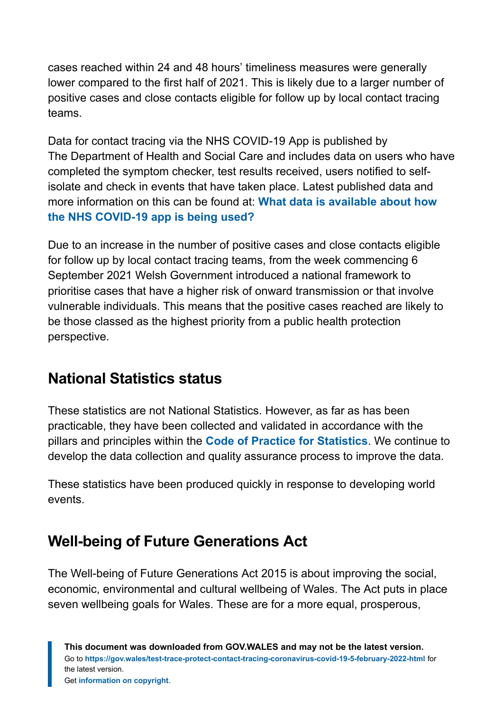cases reached within 24 and 48 hours' timeliness measures were generally lower compared to the first half of 2021. This is likely due to a larger number of positive cases and close contacts eligible for follow up by local contact tracing teams.

Data for contact tracing via the NHS COVID-19 App is published by The Department of Health and Social Care and includes data on users who have completed the symptom checker, test results received, users notified to selfisolate and check in events that have taken place. Latest published data and more information on this can be found at: **[What data is available about how](https://faq.covid19.nhs.uk/article/KA-01367) [the NHS COVID-19 app is being used?](https://faq.covid19.nhs.uk/article/KA-01367)**

Due to an increase in the number of positive cases and close contacts eligible for follow up by local contact tracing teams, from the week commencing 6 September 2021 Welsh Government introduced a national framework to prioritise cases that have a higher risk of onward transmission or that involve vulnerable individuals. This means that the positive cases reached are likely to be those classed as the highest priority from a public health protection perspective.

# **National Statistics status**

These statistics are not National Statistics. However, as far as has been practicable, they have been collected and validated in accordance with the pillars and principles within the **[Code of Practice for Statistics](https://code.statisticsauthority.gov.uk/)**. We continue to develop the data collection and quality assurance process to improve the data.

These statistics have been produced quickly in response to developing world events.

# **Well-being of Future Generations Act**

The Well-being of Future Generations Act 2015 is about improving the social, economic, environmental and cultural wellbeing of Wales. The Act puts in place seven wellbeing goals for Wales. These are for a more equal, prosperous,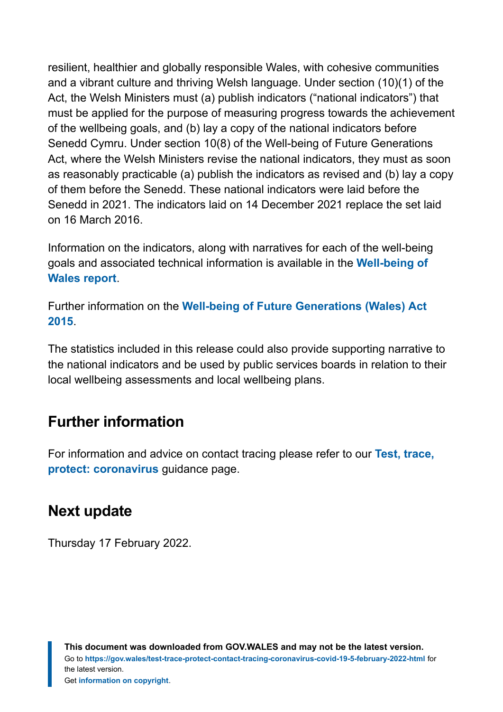resilient, healthier and globally responsible Wales, with cohesive communities and a vibrant culture and thriving Welsh language. Under section (10)(1) of the Act, the Welsh Ministers must (a) publish indicators ("national indicators") that must be applied for the purpose of measuring progress towards the achievement of the wellbeing goals, and (b) lay a copy of the national indicators before Senedd Cymru. Under section 10(8) of the Well-being of Future Generations Act, where the Welsh Ministers revise the national indicators, they must as soon as reasonably practicable (a) publish the indicators as revised and (b) lay a copy of them before the Senedd. These national indicators were laid before the Senedd in 2021. The indicators laid on 14 December 2021 replace the set laid on 16 March 2016.

Information on the indicators, along with narratives for each of the well-being goals and associated technical information is available in the **[Well-being of](https://gov.wales/wellbeing-wales) [Wales report](https://gov.wales/wellbeing-wales)**.

Further information on the **[Well-being of Future Generations \(Wales\) Act](https://gov.wales/well-being-future-generations-wales-act-2015-guidance) [2015](https://gov.wales/well-being-future-generations-wales-act-2015-guidance)**.

The statistics included in this release could also provide supporting narrative to the national indicators and be used by public services boards in relation to their local wellbeing assessments and local wellbeing plans.

### **Further information**

For information and advice on contact tracing please refer to our **[Test, trace,](https://gov.wales/test-trace-protect-coronavirus) [protect: coronavirus](https://gov.wales/test-trace-protect-coronavirus)** guidance page.

### **Next update**

Thursday 17 February 2022.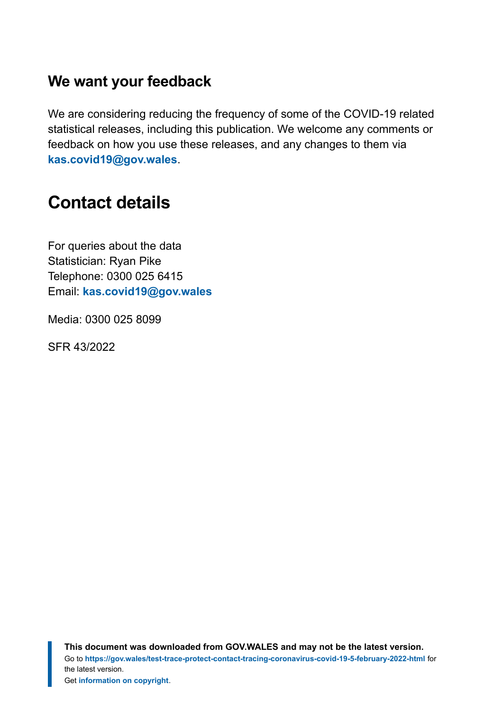### **We want your feedback**

We are considering reducing the frequency of some of the COVID-19 related statistical releases, including this publication. We welcome any comments or feedback on how you use these releases, and any changes to them via **[kas.covid19@gov.wales](mailto:KAS.COVID19@gov.wales)**.

# <span id="page-18-0"></span>**Contact details**

For queries about the data Statistician: Ryan Pike Telephone: 0300 025 6415 Email: **[kas.covid19@gov.wales](mailto:kas.covid19@gov.wales)**

Media: 0300 025 8099

SFR 43/2022